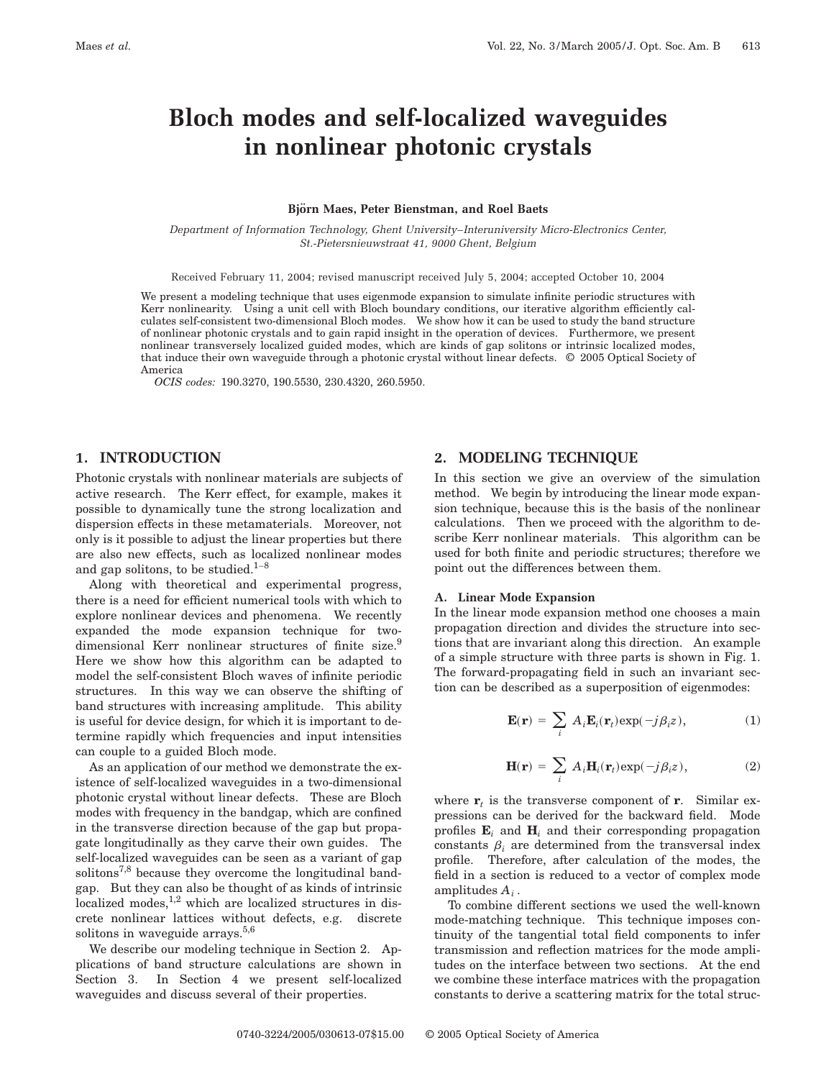# **Bloch modes and self-localized waveguides in nonlinear photonic crystals**

#### **Bjo¨ rn Maes, Peter Bienstman, and Roel Baets**

*Department of Information Technology, Ghent University*–*Interuniversity Micro-Electronics Center, St.-Pietersnieuwstraat 41, 9000 Ghent, Belgium*

Received February 11, 2004; revised manuscript received July 5, 2004; accepted October 10, 2004

We present a modeling technique that uses eigenmode expansion to simulate infinite periodic structures with Kerr nonlinearity. Using a unit cell with Bloch boundary conditions, our iterative algorithm efficiently calculates self-consistent two-dimensional Bloch modes. We show how it can be used to study the band structure of nonlinear photonic crystals and to gain rapid insight in the operation of devices. Furthermore, we present nonlinear transversely localized guided modes, which are kinds of gap solitons or intrinsic localized modes, that induce their own waveguide through a photonic crystal without linear defects. © 2005 Optical Society of America

*OCIS codes:* 190.3270, 190.5530, 230.4320, 260.5950.

# **1. INTRODUCTION**

Photonic crystals with nonlinear materials are subjects of active research. The Kerr effect, for example, makes it possible to dynamically tune the strong localization and dispersion effects in these metamaterials. Moreover, not only is it possible to adjust the linear properties but there are also new effects, such as localized nonlinear modes and gap solitons, to be studied. $1-8$ 

Along with theoretical and experimental progress, there is a need for efficient numerical tools with which to explore nonlinear devices and phenomena. We recently expanded the mode expansion technique for twodimensional Kerr nonlinear structures of finite size.<sup>9</sup> Here we show how this algorithm can be adapted to model the self-consistent Bloch waves of infinite periodic structures. In this way we can observe the shifting of band structures with increasing amplitude. This ability is useful for device design, for which it is important to determine rapidly which frequencies and input intensities can couple to a guided Bloch mode.

As an application of our method we demonstrate the existence of self-localized waveguides in a two-dimensional photonic crystal without linear defects. These are Bloch modes with frequency in the bandgap, which are confined in the transverse direction because of the gap but propagate longitudinally as they carve their own guides. The self-localized waveguides can be seen as a variant of gap solitons<sup>7,8</sup> because they overcome the longitudinal bandgap. But they can also be thought of as kinds of intrinsic localized modes, $1,2$  which are localized structures in discrete nonlinear lattices without defects, e.g. discrete solitons in waveguide arrays.<sup>5,6</sup>

We describe our modeling technique in Section 2. Applications of band structure calculations are shown in Section 3. In Section 4 we present self-localized waveguides and discuss several of their properties.

# **2. MODELING TECHNIQUE**

In this section we give an overview of the simulation method. We begin by introducing the linear mode expansion technique, because this is the basis of the nonlinear calculations. Then we proceed with the algorithm to describe Kerr nonlinear materials. This algorithm can be used for both finite and periodic structures; therefore we point out the differences between them.

## **A. Linear Mode Expansion**

In the linear mode expansion method one chooses a main propagation direction and divides the structure into sections that are invariant along this direction. An example of a simple structure with three parts is shown in Fig. 1. The forward-propagating field in such an invariant section can be described as a superposition of eigenmodes:

$$
\mathbf{E}(\mathbf{r}) = \sum_{i} A_{i} \mathbf{E}_{i}(\mathbf{r}_{t}) \exp(-j\beta_{i}z), \qquad (1)
$$

$$
\mathbf{H}(\mathbf{r}) = \sum_{i} A_{i} \mathbf{H}_{i}(\mathbf{r}_{t}) \exp(-j\beta_{i}z), \qquad (2)
$$

where  $\mathbf{r}_t$  is the transverse component of **r**. Similar expressions can be derived for the backward field. Mode profiles  $\mathbf{E}_i$  and  $\mathbf{H}_i$  and their corresponding propagation constants  $\beta_i$  are determined from the transversal index profile. Therefore, after calculation of the modes, the field in a section is reduced to a vector of complex mode amplitudes *Ai* .

To combine different sections we used the well-known mode-matching technique. This technique imposes continuity of the tangential total field components to infer transmission and reflection matrices for the mode amplitudes on the interface between two sections. At the end we combine these interface matrices with the propagation constants to derive a scattering matrix for the total struc-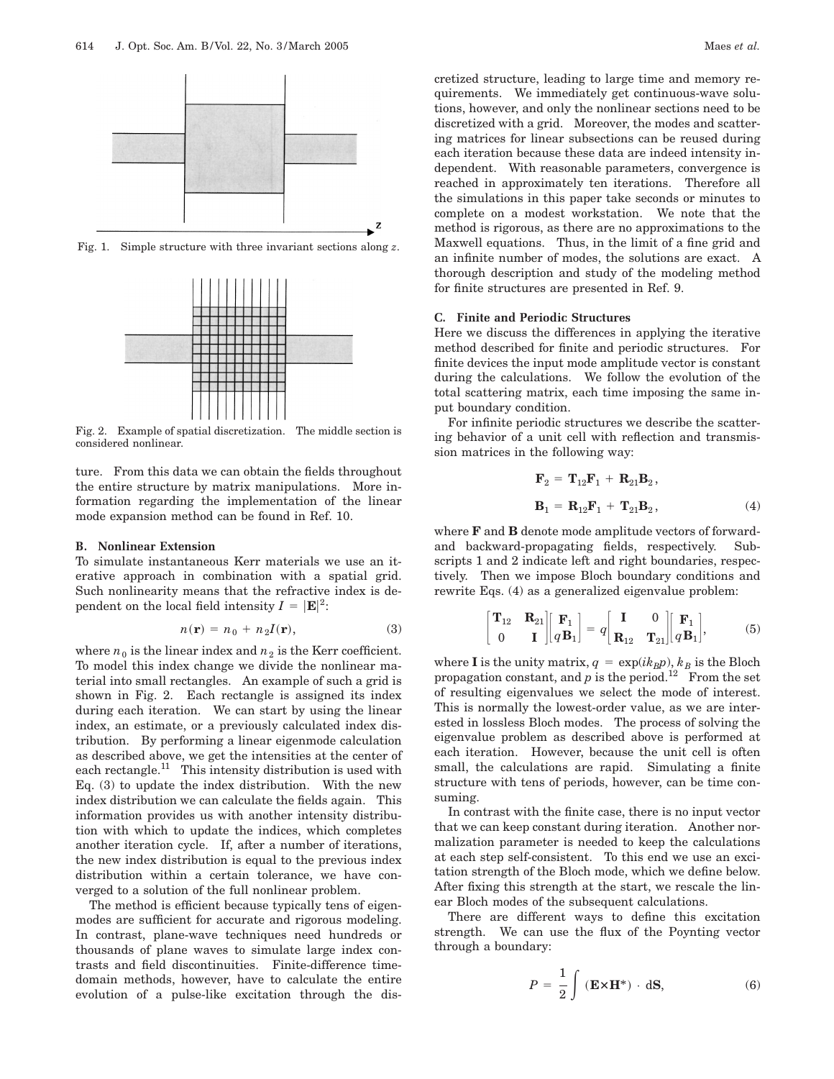

Fig. 1. Simple structure with three invariant sections along *z*.



Fig. 2. Example of spatial discretization. The middle section is considered nonlinear.

ture. From this data we can obtain the fields throughout the entire structure by matrix manipulations. More information regarding the implementation of the linear mode expansion method can be found in Ref. 10.

## **B. Nonlinear Extension**

To simulate instantaneous Kerr materials we use an iterative approach in combination with a spatial grid. Such nonlinearity means that the refractive index is dependent on the local field intensity  $I = |\mathbf{E}|^2$ :

$$
n(\mathbf{r}) = n_0 + n_2 I(\mathbf{r}),\tag{3}
$$

where  $n_0$  is the linear index and  $n_2$  is the Kerr coefficient. To model this index change we divide the nonlinear material into small rectangles. An example of such a grid is shown in Fig. 2. Each rectangle is assigned its index during each iteration. We can start by using the linear index, an estimate, or a previously calculated index distribution. By performing a linear eigenmode calculation as described above, we get the intensities at the center of each rectangle.<sup>11</sup> This intensity distribution is used with Eq. (3) to update the index distribution. With the new index distribution we can calculate the fields again. This information provides us with another intensity distribution with which to update the indices, which completes another iteration cycle. If, after a number of iterations, the new index distribution is equal to the previous index distribution within a certain tolerance, we have converged to a solution of the full nonlinear problem.

The method is efficient because typically tens of eigenmodes are sufficient for accurate and rigorous modeling. In contrast, plane-wave techniques need hundreds or thousands of plane waves to simulate large index contrasts and field discontinuities. Finite-difference timedomain methods, however, have to calculate the entire evolution of a pulse-like excitation through the discretized structure, leading to large time and memory requirements. We immediately get continuous-wave solutions, however, and only the nonlinear sections need to be discretized with a grid. Moreover, the modes and scattering matrices for linear subsections can be reused during each iteration because these data are indeed intensity independent. With reasonable parameters, convergence is reached in approximately ten iterations. Therefore all the simulations in this paper take seconds or minutes to complete on a modest workstation. We note that the method is rigorous, as there are no approximations to the Maxwell equations. Thus, in the limit of a fine grid and an infinite number of modes, the solutions are exact. A thorough description and study of the modeling method for finite structures are presented in Ref. 9.

## **C. Finite and Periodic Structures**

Here we discuss the differences in applying the iterative method described for finite and periodic structures. For finite devices the input mode amplitude vector is constant during the calculations. We follow the evolution of the total scattering matrix, each time imposing the same input boundary condition.

For infinite periodic structures we describe the scattering behavior of a unit cell with reflection and transmission matrices in the following way:

$$
\mathbf{F}_2 = \mathbf{T}_{12}\mathbf{F}_1 + \mathbf{R}_{21}\mathbf{B}_2,
$$
  

$$
\mathbf{B}_1 = \mathbf{R}_{12}\mathbf{F}_1 + \mathbf{T}_{21}\mathbf{B}_2,
$$
 (4)

where **F** and **B** denote mode amplitude vectors of forwardand backward-propagating fields, respectively. Subscripts 1 and 2 indicate left and right boundaries, respectively. Then we impose Bloch boundary conditions and rewrite Eqs. (4) as a generalized eigenvalue problem:

$$
\begin{bmatrix} \mathbf{T}_{12} & \mathbf{R}_{21} \\ 0 & \mathbf{I} \end{bmatrix} \begin{bmatrix} \mathbf{F}_1 \\ q \mathbf{B}_1 \end{bmatrix} = q \begin{bmatrix} \mathbf{I} & 0 \\ \mathbf{R}_{12} & \mathbf{T}_{21} \end{bmatrix} \begin{bmatrix} \mathbf{F}_1 \\ q \mathbf{B}_1 \end{bmatrix},
$$
(5)

where **I** is the unity matrix,  $q = \exp(ik_Bp)$ ,  $k_B$  is the Bloch propagation constant, and  $p$  is the period.<sup>12</sup> From the set of resulting eigenvalues we select the mode of interest. This is normally the lowest-order value, as we are interested in lossless Bloch modes. The process of solving the eigenvalue problem as described above is performed at each iteration. However, because the unit cell is often small, the calculations are rapid. Simulating a finite structure with tens of periods, however, can be time consuming.

In contrast with the finite case, there is no input vector that we can keep constant during iteration. Another normalization parameter is needed to keep the calculations at each step self-consistent. To this end we use an excitation strength of the Bloch mode, which we define below. After fixing this strength at the start, we rescale the linear Bloch modes of the subsequent calculations.

There are different ways to define this excitation strength. We can use the flux of the Poynting vector through a boundary:

$$
P = \frac{1}{2} \int (\mathbf{E} \times \mathbf{H}^*) \cdot d\mathbf{S}, \tag{6}
$$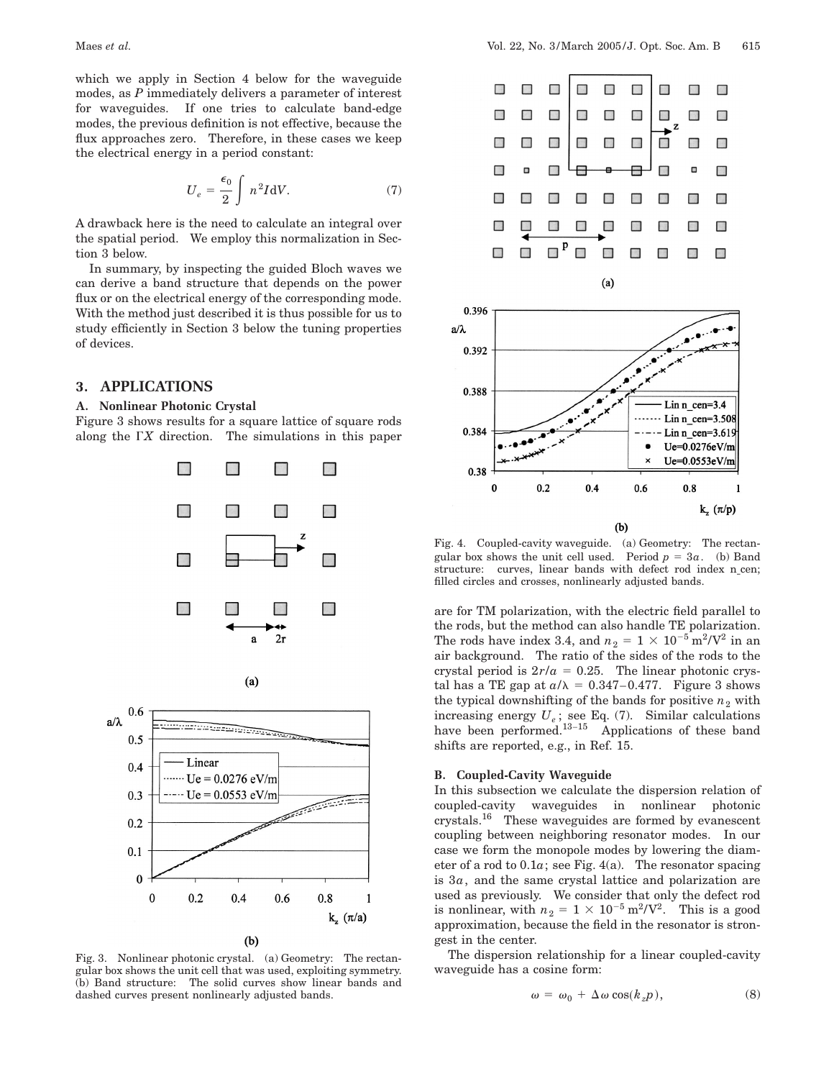which we apply in Section 4 below for the waveguide modes, as *P* immediately delivers a parameter of interest for waveguides. If one tries to calculate band-edge modes, the previous definition is not effective, because the flux approaches zero. Therefore, in these cases we keep the electrical energy in a period constant:

$$
U_e = \frac{\epsilon_0}{2} \int n^2 I dV.
$$
 (7)

A drawback here is the need to calculate an integral over the spatial period. We employ this normalization in Section 3 below.

In summary, by inspecting the guided Bloch waves we can derive a band structure that depends on the power flux or on the electrical energy of the corresponding mode. With the method just described it is thus possible for us to study efficiently in Section 3 below the tuning properties of devices.

# **3. APPLICATIONS**

#### **A. Nonlinear Photonic Crystal**

Figure 3 shows results for a square lattice of square rods along the G*X* direction. The simulations in this paper



 $(b)$ 

Fig. 3. Nonlinear photonic crystal. (a) Geometry: The rectangular box shows the unit cell that was used, exploiting symmetry. (b) Band structure: The solid curves show linear bands and dashed curves present nonlinearly adjusted bands.



Fig. 4. Coupled-cavity waveguide. (a) Geometry: The rectangular box shows the unit cell used. Period  $p = 3a$ . (b) Band structure: curves, linear bands with defect rod index n\_cen; filled circles and crosses, nonlinearly adjusted bands.

are for TM polarization, with the electric field parallel to the rods, but the method can also handle TE polarization. The rods have index 3.4, and  $n_2 = 1 \times 10^{-5} \text{ m}^2/\text{V}^2$  in an air background. The ratio of the sides of the rods to the crystal period is  $2r/a = 0.25$ . The linear photonic crystal has a TE gap at  $a/\lambda = 0.347-0.477$ . Figure 3 shows the typical downshifting of the bands for positive  $n_2$  with increasing energy  $U_e$ ; see Eq. (7). Similar calculations have been performed.<sup>13-15</sup> Applications of these band shifts are reported, e.g., in Ref. 15.

# **B. Coupled-Cavity Waveguide**

In this subsection we calculate the dispersion relation of coupled-cavity waveguides in nonlinear photonic crystals.16 These waveguides are formed by evanescent coupling between neighboring resonator modes. In our case we form the monopole modes by lowering the diameter of a rod to  $0.1a$ ; see Fig.  $4(a)$ . The resonator spacing is 3*a*, and the same crystal lattice and polarization are used as previously. We consider that only the defect rod is nonlinear, with  $n_2 = 1 \times 10^{-5} \text{ m}^2/\text{V}^2$ . This is a good approximation, because the field in the resonator is strongest in the center.

The dispersion relationship for a linear coupled-cavity waveguide has a cosine form:

$$
\omega = \omega_0 + \Delta \omega \cos(k_z p), \tag{8}
$$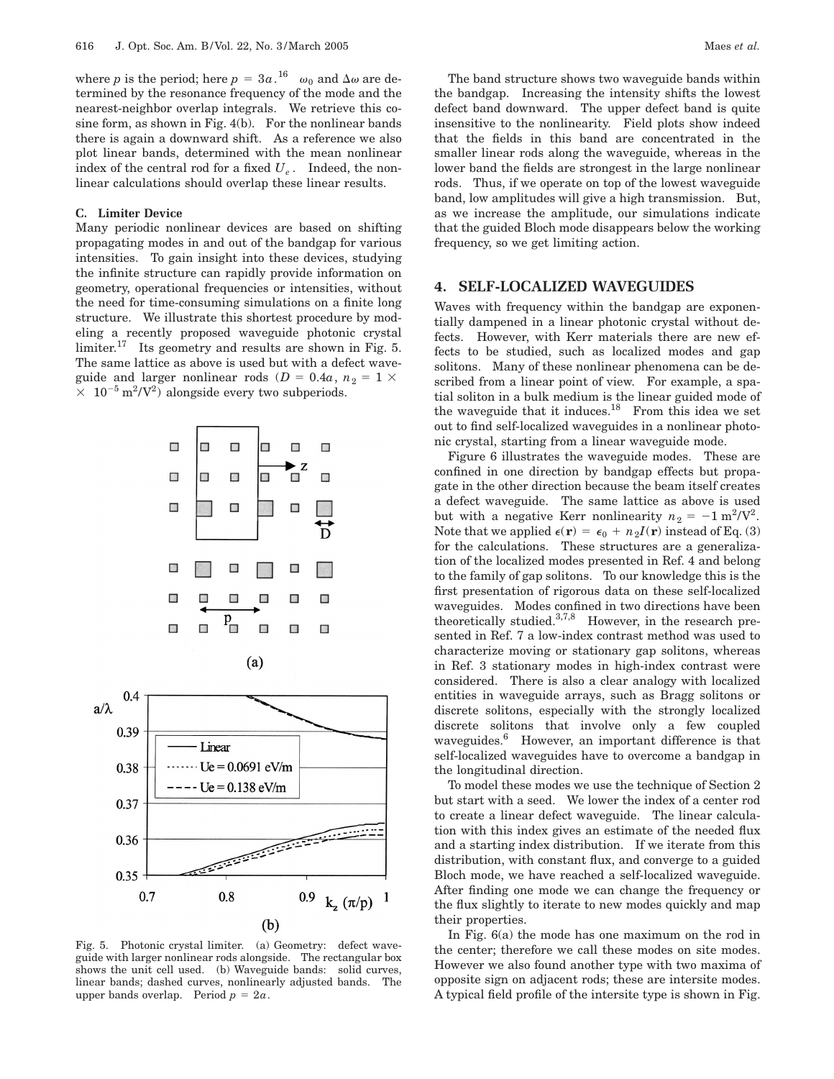where *p* is the period; here  $p = 3a$ .<sup>16</sup>  $\omega_0$  and  $\Delta \omega$  are determined by the resonance frequency of the mode and the nearest-neighbor overlap integrals. We retrieve this cosine form, as shown in Fig. 4(b). For the nonlinear bands there is again a downward shift. As a reference we also plot linear bands, determined with the mean nonlinear index of the central rod for a fixed  $U_e$ . Indeed, the nonlinear calculations should overlap these linear results.

#### **C. Limiter Device**

Many periodic nonlinear devices are based on shifting propagating modes in and out of the bandgap for various intensities. To gain insight into these devices, studying the infinite structure can rapidly provide information on geometry, operational frequencies or intensities, without the need for time-consuming simulations on a finite long structure. We illustrate this shortest procedure by modeling a recently proposed waveguide photonic crystal limiter.<sup>17</sup> Its geometry and results are shown in Fig. 5. The same lattice as above is used but with a defect waveguide and larger nonlinear rods ( $D = 0.4a$ ,  $n_2 = 1 \times$  $\times$  10<sup>-5</sup> m<sup>2</sup>/V<sup>2</sup>) alongside every two subperiods.



Fig. 5. Photonic crystal limiter. (a) Geometry: defect waveguide with larger nonlinear rods alongside. The rectangular box shows the unit cell used. (b) Waveguide bands: solid curves, linear bands; dashed curves, nonlinearly adjusted bands. The upper bands overlap. Period  $p = 2a$ .

The band structure shows two waveguide bands within the bandgap. Increasing the intensity shifts the lowest defect band downward. The upper defect band is quite insensitive to the nonlinearity. Field plots show indeed that the fields in this band are concentrated in the smaller linear rods along the waveguide, whereas in the lower band the fields are strongest in the large nonlinear rods. Thus, if we operate on top of the lowest waveguide band, low amplitudes will give a high transmission. But, as we increase the amplitude, our simulations indicate that the guided Bloch mode disappears below the working frequency, so we get limiting action.

## **4. SELF-LOCALIZED WAVEGUIDES**

Waves with frequency within the bandgap are exponentially dampened in a linear photonic crystal without defects. However, with Kerr materials there are new effects to be studied, such as localized modes and gap solitons. Many of these nonlinear phenomena can be described from a linear point of view. For example, a spatial soliton in a bulk medium is the linear guided mode of the waveguide that it induces. $18$  From this idea we set out to find self-localized waveguides in a nonlinear photonic crystal, starting from a linear waveguide mode.

Figure 6 illustrates the waveguide modes. These are confined in one direction by bandgap effects but propagate in the other direction because the beam itself creates a defect waveguide. The same lattice as above is used but with a negative Kerr nonlinearity  $n_2 = -1 \text{ m}^2/\text{V}^2$ . Note that we applied  $\epsilon(\mathbf{r}) = \epsilon_0 + n_2 I(\mathbf{r})$  instead of Eq. (3) for the calculations. These structures are a generalization of the localized modes presented in Ref. 4 and belong to the family of gap solitons. To our knowledge this is the first presentation of rigorous data on these self-localized waveguides. Modes confined in two directions have been theoretically studied.3,7,8 However, in the research presented in Ref. 7 a low-index contrast method was used to characterize moving or stationary gap solitons, whereas in Ref. 3 stationary modes in high-index contrast were considered. There is also a clear analogy with localized entities in waveguide arrays, such as Bragg solitons or discrete solitons, especially with the strongly localized discrete solitons that involve only a few coupled waveguides.<sup>6</sup> However, an important difference is that self-localized waveguides have to overcome a bandgap in the longitudinal direction.

To model these modes we use the technique of Section 2 but start with a seed. We lower the index of a center rod to create a linear defect waveguide. The linear calculation with this index gives an estimate of the needed flux and a starting index distribution. If we iterate from this distribution, with constant flux, and converge to a guided Bloch mode, we have reached a self-localized waveguide. After finding one mode we can change the frequency or the flux slightly to iterate to new modes quickly and map their properties.

In Fig. 6(a) the mode has one maximum on the rod in the center; therefore we call these modes on site modes. However we also found another type with two maxima of opposite sign on adjacent rods; these are intersite modes. A typical field profile of the intersite type is shown in Fig.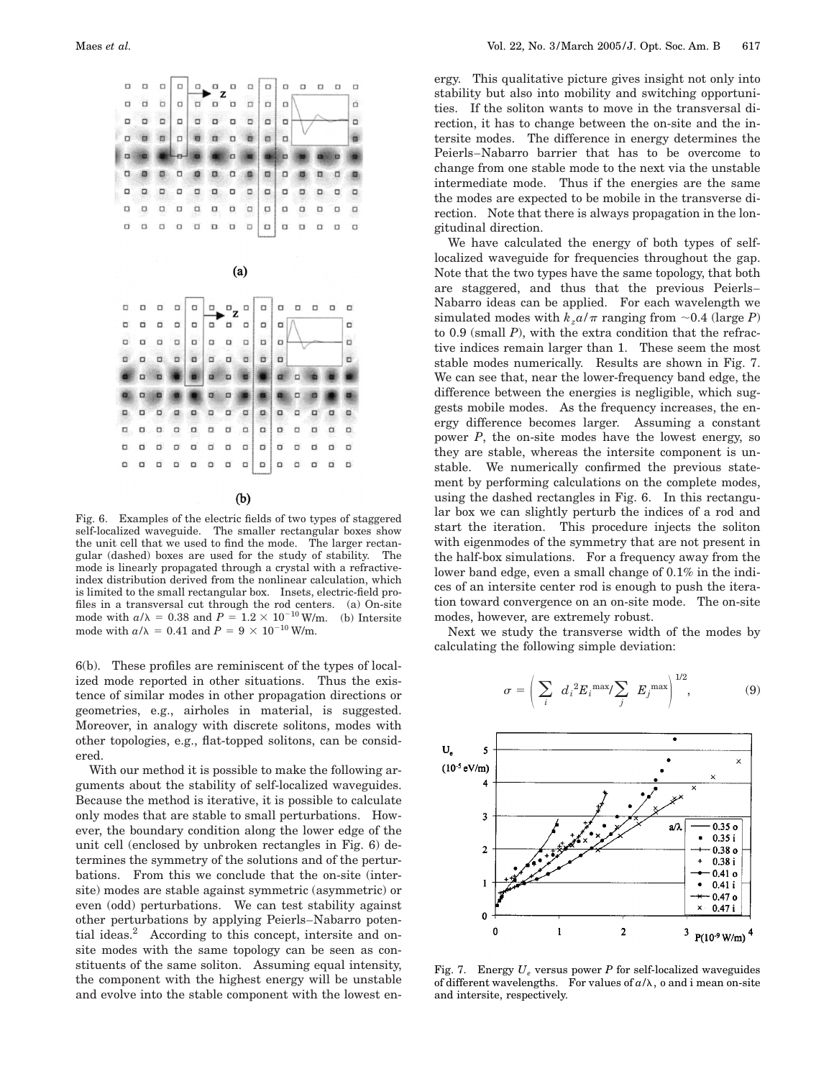

 $(b)$ 

Fig. 6. Examples of the electric fields of two types of staggered self-localized waveguide. The smaller rectangular boxes show the unit cell that we used to find the mode. The larger rectangular (dashed) boxes are used for the study of stability. The mode is linearly propagated through a crystal with a refractiveindex distribution derived from the nonlinear calculation, which is limited to the small rectangular box. Insets, electric-field profiles in a transversal cut through the rod centers. (a) On-site mode with  $a/\lambda = 0.38$  and  $P = 1.2 \times 10^{-10}$  W/m. (b) Intersite mode with  $a/\lambda = 0.41$  and  $P = 9 \times 10^{-10}$  W/m.

6(b). These profiles are reminiscent of the types of localized mode reported in other situations. Thus the existence of similar modes in other propagation directions or geometries, e.g., airholes in material, is suggested. Moreover, in analogy with discrete solitons, modes with other topologies, e.g., flat-topped solitons, can be considered.

With our method it is possible to make the following arguments about the stability of self-localized waveguides. Because the method is iterative, it is possible to calculate only modes that are stable to small perturbations. However, the boundary condition along the lower edge of the unit cell (enclosed by unbroken rectangles in Fig. 6) determines the symmetry of the solutions and of the perturbations. From this we conclude that the on-site (intersite) modes are stable against symmetric (asymmetric) or even (odd) perturbations. We can test stability against other perturbations by applying Peierls–Nabarro potential ideas.2 According to this concept, intersite and onsite modes with the same topology can be seen as constituents of the same soliton. Assuming equal intensity, the component with the highest energy will be unstable and evolve into the stable component with the lowest energy. This qualitative picture gives insight not only into stability but also into mobility and switching opportunities. If the soliton wants to move in the transversal direction, it has to change between the on-site and the intersite modes. The difference in energy determines the Peierls–Nabarro barrier that has to be overcome to change from one stable mode to the next via the unstable intermediate mode. Thus if the energies are the same the modes are expected to be mobile in the transverse direction. Note that there is always propagation in the longitudinal direction.

We have calculated the energy of both types of selflocalized waveguide for frequencies throughout the gap. Note that the two types have the same topology, that both are staggered, and thus that the previous Peierls– Nabarro ideas can be applied. For each wavelength we simulated modes with  $k_z a/\pi$  ranging from  $\sim 0.4$  (large *P*) to 0.9 (small *P*), with the extra condition that the refractive indices remain larger than 1. These seem the most stable modes numerically. Results are shown in Fig. 7. We can see that, near the lower-frequency band edge, the difference between the energies is negligible, which suggests mobile modes. As the frequency increases, the energy difference becomes larger. Assuming a constant power *P*, the on-site modes have the lowest energy, so they are stable, whereas the intersite component is unstable. We numerically confirmed the previous statement by performing calculations on the complete modes, using the dashed rectangles in Fig. 6. In this rectangular box we can slightly perturb the indices of a rod and start the iteration. This procedure injects the soliton with eigenmodes of the symmetry that are not present in the half-box simulations. For a frequency away from the lower band edge, even a small change of 0.1% in the indices of an intersite center rod is enough to push the iteration toward convergence on an on-site mode. The on-site modes, however, are extremely robust.

Next we study the transverse width of the modes by calculating the following simple deviation:





Fig. 7. Energy  $U_e$  versus power P for self-localized waveguides of different wavelengths. For values of  $a/\lambda$ , o and i mean on-site and intersite, respectively.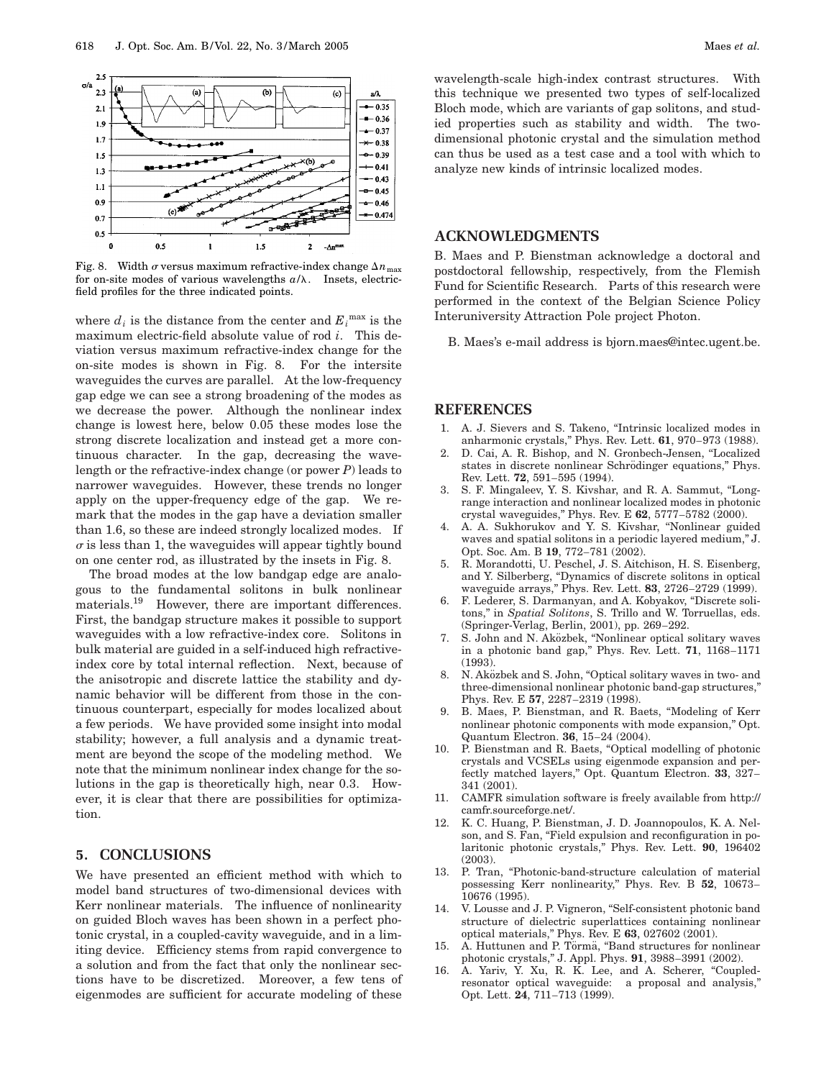

Fig. 8. Width  $\sigma$  versus maximum refractive-index change  $\Delta n_{\text{max}}$ for on-site modes of various wavelengths  $a/\lambda$ . Insets, electricfield profiles for the three indicated points.

where  $d_i$  is the distance from the center and  $E_i^{\max}$  is the maximum electric-field absolute value of rod *i*. This deviation versus maximum refractive-index change for the on-site modes is shown in Fig. 8. For the intersite waveguides the curves are parallel. At the low-frequency gap edge we can see a strong broadening of the modes as we decrease the power. Although the nonlinear index change is lowest here, below 0.05 these modes lose the strong discrete localization and instead get a more continuous character. In the gap, decreasing the wavelength or the refractive-index change (or power *P*) leads to narrower waveguides. However, these trends no longer apply on the upper-frequency edge of the gap. We remark that the modes in the gap have a deviation smaller than 1.6, so these are indeed strongly localized modes. If  $\sigma$  is less than 1, the waveguides will appear tightly bound on one center rod, as illustrated by the insets in Fig. 8.

The broad modes at the low bandgap edge are analogous to the fundamental solitons in bulk nonlinear materials.<sup>19</sup> However, there are important differences. First, the bandgap structure makes it possible to support waveguides with a low refractive-index core. Solitons in bulk material are guided in a self-induced high refractiveindex core by total internal reflection. Next, because of the anisotropic and discrete lattice the stability and dynamic behavior will be different from those in the continuous counterpart, especially for modes localized about a few periods. We have provided some insight into modal stability; however, a full analysis and a dynamic treatment are beyond the scope of the modeling method. We note that the minimum nonlinear index change for the solutions in the gap is theoretically high, near 0.3. However, it is clear that there are possibilities for optimization.

# **5. CONCLUSIONS**

We have presented an efficient method with which to model band structures of two-dimensional devices with Kerr nonlinear materials. The influence of nonlinearity on guided Bloch waves has been shown in a perfect photonic crystal, in a coupled-cavity waveguide, and in a limiting device. Efficiency stems from rapid convergence to a solution and from the fact that only the nonlinear sections have to be discretized. Moreover, a few tens of eigenmodes are sufficient for accurate modeling of these

wavelength-scale high-index contrast structures. With this technique we presented two types of self-localized Bloch mode, which are variants of gap solitons, and studied properties such as stability and width. The twodimensional photonic crystal and the simulation method can thus be used as a test case and a tool with which to analyze new kinds of intrinsic localized modes.

## **ACKNOWLEDGMENTS**

B. Maes and P. Bienstman acknowledge a doctoral and postdoctoral fellowship, respectively, from the Flemish Fund for Scientific Research. Parts of this research were performed in the context of the Belgian Science Policy Interuniversity Attraction Pole project Photon.

B. Maes's e-mail address is bjorn.maes@intec.ugent.be.

## **REFERENCES**

- 1. A. J. Sievers and S. Takeno, ''Intrinsic localized modes in anharmonic crystals,'' Phys. Rev. Lett. **61**, 970–973 (1988).
- 2. D. Cai, A. R. Bishop, and N. Gronbech-Jensen, ''Localized states in discrete nonlinear Schrödinger equations," Phys. Rev. Lett. **72**, 591–595 (1994).
- 3. S. F. Mingaleev, Y. S. Kivshar, and R. A. Sammut, "Longrange interaction and nonlinear localized modes in photonic crystal waveguides,'' Phys. Rev. E **62**, 5777–5782 (2000).
- 4. A. A. Sukhorukov and Y. S. Kivshar, ''Nonlinear guided waves and spatial solitons in a periodic layered medium,'' J. Opt. Soc. Am. B **19**, 772–781 (2002).
- 5. R. Morandotti, U. Peschel, J. S. Aitchison, H. S. Eisenberg, and Y. Silberberg, ''Dynamics of discrete solitons in optical waveguide arrays,'' Phys. Rev. Lett. **83**, 2726–2729 (1999).
- 6. F. Lederer, S. Darmanyan, and A. Kobyakov, ''Discrete solitons,'' in *Spatial Solitons*, S. Trillo and W. Torruellas, eds. (Springer-Verlag, Berlin, 2001), pp. 269–292.
- 7. S. John and N. Aközbek, "Nonlinear optical solitary waves in a photonic band gap,'' Phys. Rev. Lett. **71**, 1168–1171 (1993).
- 8. N. Aközbek and S. John, "Optical solitary waves in two- and three-dimensional nonlinear photonic band-gap structures,'' Phys. Rev. E **57**, 2287–2319 (1998).
- 9. B. Maes, P. Bienstman, and R. Baets, ''Modeling of Kerr nonlinear photonic components with mode expansion,'' Opt. Quantum Electron. **36**, 15–24 (2004).
- 10. P. Bienstman and R. Baets, ''Optical modelling of photonic crystals and VCSELs using eigenmode expansion and perfectly matched layers,'' Opt. Quantum Electron. **33**, 327– 341 (2001).
- 11. CAMFR simulation software is freely available from http:// camfr.sourceforge.net/.
- 12. K. C. Huang, P. Bienstman, J. D. Joannopoulos, K. A. Nelson, and S. Fan, "Field expulsion and reconfiguration in polaritonic photonic crystals,'' Phys. Rev. Lett. **90**, 196402 (2003).
- 13. P. Tran, "Photonic-band-structure calculation of material possessing Kerr nonlinearity,'' Phys. Rev. B **52**, 10673– 10676 (1995).
- 14. V. Lousse and J. P. Vigneron, ''Self-consistent photonic band structure of dielectric superlattices containing nonlinear optical materials,'' Phys. Rev. E **63**, 027602 (2001).
- 15. A. Huttunen and P. Törmä, "Band structures for nonlinear photonic crystals,'' J. Appl. Phys. **91**, 3988–3991 (2002).
- 16. A. Yariv, Y. Xu, R. K. Lee, and A. Scherer, "Coupledresonator optical waveguide: a proposal and analysis,'' Opt. Lett. **24**, 711–713 (1999).